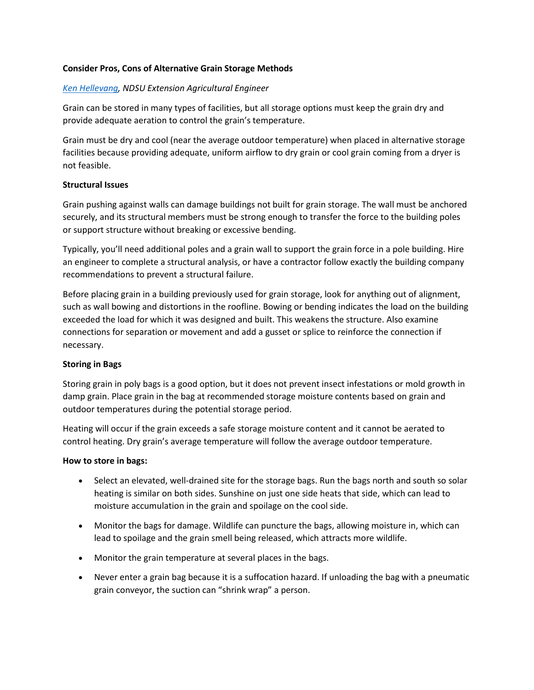# **Consider Pros, Cons of Alternative Grain Storage Methods**

# *[Ken Hellevang,](mailto:kenneth.hellevang@ndsu.edu) NDSU Extension Agricultural Engineer*

Grain can be stored in many types of facilities, but all storage options must keep the grain dry and provide adequate aeration to control the grain's temperature.

Grain must be dry and cool (near the average outdoor temperature) when placed in alternative storage facilities because providing adequate, uniform airflow to dry grain or cool grain coming from a dryer is not feasible.

# **Structural Issues**

Grain pushing against walls can damage buildings not built for grain storage. The wall must be anchored securely, and its structural members must be strong enough to transfer the force to the building poles or support structure without breaking or excessive bending.

Typically, you'll need additional poles and a grain wall to support the grain force in a pole building. Hire an engineer to complete a structural analysis, or have a contractor follow exactly the building company recommendations to prevent a structural failure.

Before placing grain in a building previously used for grain storage, look for anything out of alignment, such as wall bowing and distortions in the roofline. Bowing or bending indicates the load on the building exceeded the load for which it was designed and built. This weakens the structure. Also examine connections for separation or movement and add a gusset or splice to reinforce the connection if necessary.

# **Storing in Bags**

Storing grain in poly bags is a good option, but it does not prevent insect infestations or mold growth in damp grain. Place grain in the bag at recommended storage moisture contents based on grain and outdoor temperatures during the potential storage period.

Heating will occur if the grain exceeds a safe storage moisture content and it cannot be aerated to control heating. Dry grain's average temperature will follow the average outdoor temperature.

# **How to store in bags:**

- Select an elevated, well-drained site for the storage bags. Run the bags north and south so solar heating is similar on both sides. Sunshine on just one side heats that side, which can lead to moisture accumulation in the grain and spoilage on the cool side.
- Monitor the bags for damage. Wildlife can puncture the bags, allowing moisture in, which can lead to spoilage and the grain smell being released, which attracts more wildlife.
- Monitor the grain temperature at several places in the bags.
- Never enter a grain bag because it is a suffocation hazard. If unloading the bag with a pneumatic grain conveyor, the suction can "shrink wrap" a person.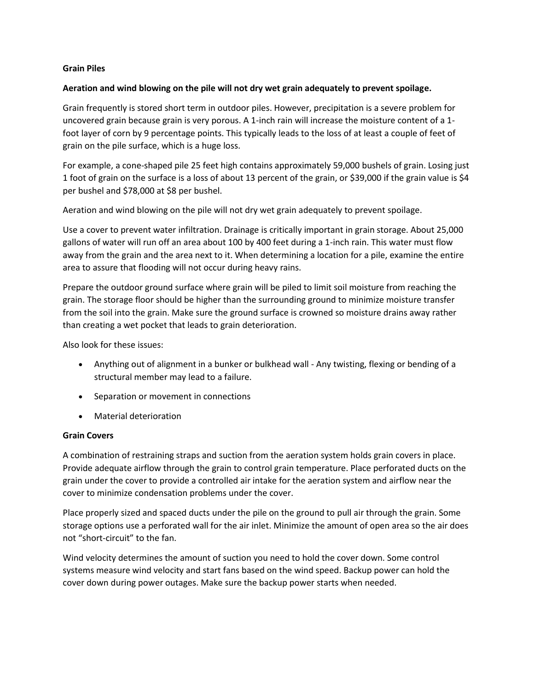## **Grain Piles**

#### **Aeration and wind blowing on the pile will not dry wet grain adequately to prevent spoilage.**

Grain frequently is stored short term in outdoor piles. However, precipitation is a severe problem for uncovered grain because grain is very porous. A 1-inch rain will increase the moisture content of a 1 foot layer of corn by 9 percentage points. This typically leads to the loss of at least a couple of feet of grain on the pile surface, which is a huge loss.

For example, a cone-shaped pile 25 feet high contains approximately 59,000 bushels of grain. Losing just 1 foot of grain on the surface is a loss of about 13 percent of the grain, or \$39,000 if the grain value is \$4 per bushel and \$78,000 at \$8 per bushel.

Aeration and wind blowing on the pile will not dry wet grain adequately to prevent spoilage.

Use a cover to prevent water infiltration. Drainage is critically important in grain storage. About 25,000 gallons of water will run off an area about 100 by 400 feet during a 1-inch rain. This water must flow away from the grain and the area next to it. When determining a location for a pile, examine the entire area to assure that flooding will not occur during heavy rains.

Prepare the outdoor ground surface where grain will be piled to limit soil moisture from reaching the grain. The storage floor should be higher than the surrounding ground to minimize moisture transfer from the soil into the grain. Make sure the ground surface is crowned so moisture drains away rather than creating a wet pocket that leads to grain deterioration.

Also look for these issues:

- Anything out of alignment in a bunker or bulkhead wall Any twisting, flexing or bending of a structural member may lead to a failure.
- Separation or movement in connections
- Material deterioration

# **Grain Covers**

A combination of restraining straps and suction from the aeration system holds grain covers in place. Provide adequate airflow through the grain to control grain temperature. Place perforated ducts on the grain under the cover to provide a controlled air intake for the aeration system and airflow near the cover to minimize condensation problems under the cover.

Place properly sized and spaced ducts under the pile on the ground to pull air through the grain. Some storage options use a perforated wall for the air inlet. Minimize the amount of open area so the air does not "short-circuit" to the fan.

Wind velocity determines the amount of suction you need to hold the cover down. Some control systems measure wind velocity and start fans based on the wind speed. Backup power can hold the cover down during power outages. Make sure the backup power starts when needed.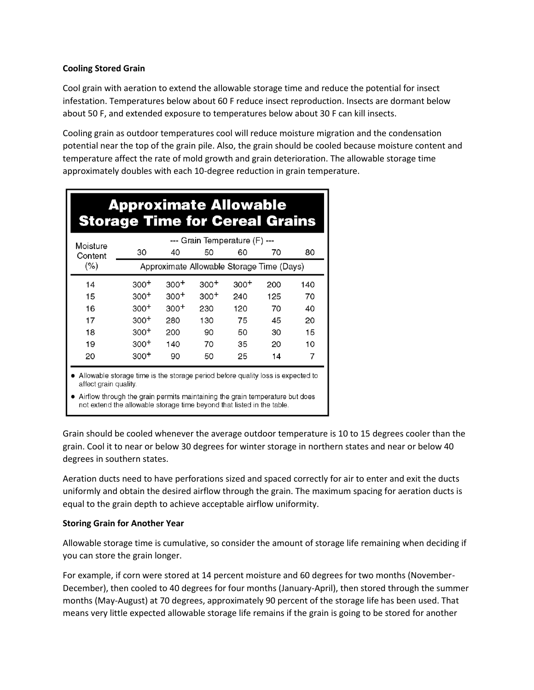# **Cooling Stored Grain**

Cool grain with aeration to extend the allowable storage time and reduce the potential for insect infestation. Temperatures below about 60 F reduce insect reproduction. Insects are dormant below about 50 F, and extended exposure to temperatures below about 30 F can kill insects.

Cooling grain as outdoor temperatures cool will reduce moisture migration and the condensation potential near the top of the grain pile. Also, the grain should be cooled because moisture content and temperature affect the rate of mold growth and grain deterioration. The allowable storage time approximately doubles with each 10-degree reduction in grain temperature.

| <b>Approximate Allowable</b><br><b>Storage Time for Cereal Grains</b>             |                                           |        |        |        |     |     |
|-----------------------------------------------------------------------------------|-------------------------------------------|--------|--------|--------|-----|-----|
| Moisture<br>Content                                                               | --- Grain Temperature (F) ---             |        |        |        |     |     |
|                                                                                   | 30                                        | 40     | 50     | 60     | 70  | 80  |
| (% )                                                                              | Approximate Allowable Storage Time (Days) |        |        |        |     |     |
| 14                                                                                | $300+$                                    | $300+$ | $300+$ | $300+$ | 200 | 140 |
| 15                                                                                | $300+$                                    | $300+$ | $300+$ | 240    | 125 | 70  |
| 16                                                                                | $300+$                                    | $300+$ | 230    | 120    | 70  | 40  |
| 17                                                                                | $300+$                                    | 280    | 130    | 75     | 45  | 20  |
| 18                                                                                | $300+$                                    | 200    | 90     | 50     | 30  | 15  |
| 19                                                                                | $300+$                                    | 140    | 70     | 35     | 20  | 10  |
| 20                                                                                | $300+$                                    | 90     | 50     | 25     | 14  | 7   |
| • Allowable storage time is the storage period before quality loss is expected to |                                           |        |        |        |     |     |

affect grain quality.

• Airflow through the grain permits maintaining the grain temperature but does not extend the allowable storage time beyond that listed in the table.

Grain should be cooled whenever the average outdoor temperature is 10 to 15 degrees cooler than the grain. Cool it to near or below 30 degrees for winter storage in northern states and near or below 40 degrees in southern states.

Aeration ducts need to have perforations sized and spaced correctly for air to enter and exit the ducts uniformly and obtain the desired airflow through the grain. The maximum spacing for aeration ducts is equal to the grain depth to achieve acceptable airflow uniformity.

# **Storing Grain for Another Year**

Allowable storage time is cumulative, so consider the amount of storage life remaining when deciding if you can store the grain longer.

For example, if corn were stored at 14 percent moisture and 60 degrees for two months (November-December), then cooled to 40 degrees for four months (January-April), then stored through the summer months (May-August) at 70 degrees, approximately 90 percent of the storage life has been used. That means very little expected allowable storage life remains if the grain is going to be stored for another